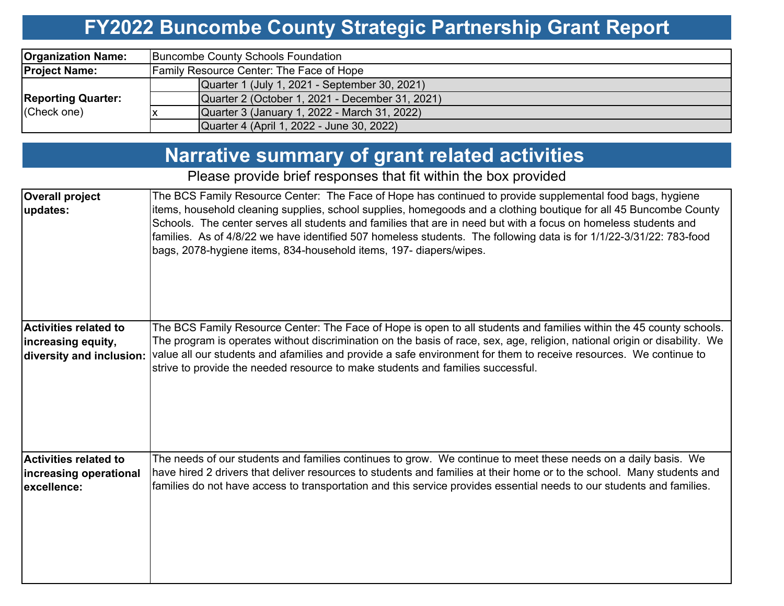#### **FY2022 Buncombe County Strategic Partnership Grant Report**

| <b>Organization Name:</b>                | Buncombe County Schools Foundation              |  |  |  |  |  |  |  |
|------------------------------------------|-------------------------------------------------|--|--|--|--|--|--|--|
| <b>Project Name:</b>                     | Family Resource Center: The Face of Hope        |  |  |  |  |  |  |  |
| <b>Reporting Quarter:</b><br>(Check one) | Quarter 1 (July 1, 2021 - September 30, 2021)   |  |  |  |  |  |  |  |
|                                          | Quarter 2 (October 1, 2021 - December 31, 2021) |  |  |  |  |  |  |  |
|                                          | Quarter 3 (January 1, 2022 - March 31, 2022)    |  |  |  |  |  |  |  |
|                                          | Quarter 4 (April 1, 2022 - June 30, 2022)       |  |  |  |  |  |  |  |

### **Narrative summary of grant related activities**

Please provide brief responses that fit within the box provided

| <b>Overall project</b><br>updates:                                             | The BCS Family Resource Center: The Face of Hope has continued to provide supplemental food bags, hygiene<br>items, household cleaning supplies, school supplies, homegoods and a clothing boutique for all 45 Buncombe County<br>Schools. The center serves all students and families that are in need but with a focus on homeless students and<br>families. As of 4/8/22 we have identified 507 homeless students. The following data is for 1/1/22-3/31/22: 783-food<br>bags, 2078-hygiene items, 834-household items, 197- diapers/wipes. |
|--------------------------------------------------------------------------------|------------------------------------------------------------------------------------------------------------------------------------------------------------------------------------------------------------------------------------------------------------------------------------------------------------------------------------------------------------------------------------------------------------------------------------------------------------------------------------------------------------------------------------------------|
| <b>Activities related to</b><br>increasing equity,<br>diversity and inclusion: | The BCS Family Resource Center: The Face of Hope is open to all students and families within the 45 county schools.<br>The program is operates without discrimination on the basis of race, sex, age, religion, national origin or disability. We<br>value all our students and afamilies and provide a safe environment for them to receive resources. We continue to<br>strive to provide the needed resource to make students and families successful.                                                                                      |
| Activities related to<br>increasing operational<br>excellence:                 | The needs of our students and families continues to grow. We continue to meet these needs on a daily basis. We<br>have hired 2 drivers that deliver resources to students and families at their home or to the school. Many students and<br>families do not have access to transportation and this service provides essential needs to our students and families.                                                                                                                                                                              |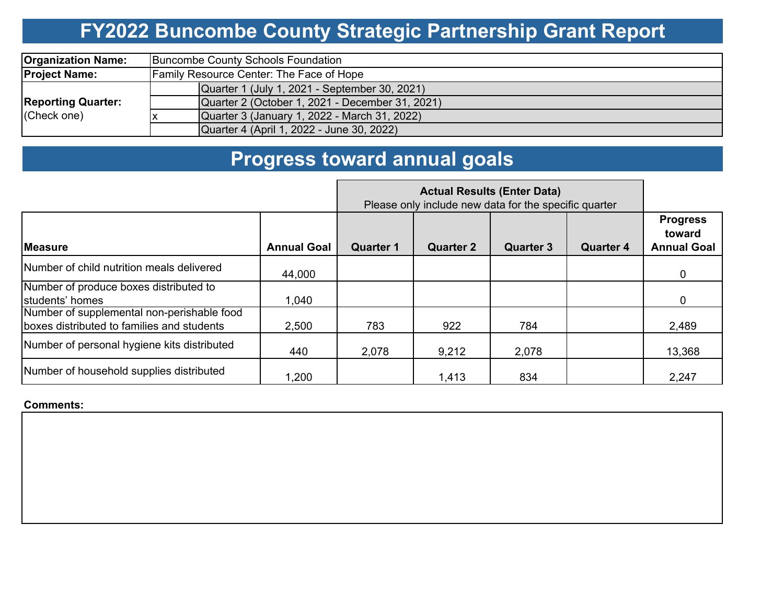# **FY2022 Buncombe County Strategic Partnership Grant Report**

| <b>Organization Name:</b>                | Buncombe County Schools Foundation              |  |  |  |  |  |  |
|------------------------------------------|-------------------------------------------------|--|--|--|--|--|--|
| <b>Project Name:</b>                     | <b>Family Resource Center: The Face of Hope</b> |  |  |  |  |  |  |
|                                          | Quarter 1 (July 1, 2021 - September 30, 2021)   |  |  |  |  |  |  |
| <b>Reporting Quarter:</b><br>(Check one) | Quarter 2 (October 1, 2021 - December 31, 2021) |  |  |  |  |  |  |
|                                          | Quarter 3 (January 1, 2022 - March 31, 2022)    |  |  |  |  |  |  |
|                                          | Quarter 4 (April 1, 2022 - June 30, 2022)       |  |  |  |  |  |  |

# **Progress toward annual goals**

|                                                                                          | Please only include new data for the specific quarter |                  |                  |                  |                  |                                                 |
|------------------------------------------------------------------------------------------|-------------------------------------------------------|------------------|------------------|------------------|------------------|-------------------------------------------------|
| <b>Measure</b>                                                                           | <b>Annual Goal</b>                                    | <b>Quarter 1</b> | <b>Quarter 2</b> | <b>Quarter 3</b> | <b>Quarter 4</b> | <b>Progress</b><br>toward<br><b>Annual Goal</b> |
| Number of child nutrition meals delivered                                                | 44,000                                                |                  |                  |                  |                  | 0                                               |
| Number of produce boxes distributed to<br>students' homes                                | 1,040                                                 |                  |                  |                  |                  | 0                                               |
| Number of supplemental non-perishable food<br>boxes distributed to families and students | 2,500                                                 | 783              | 922              | 784              |                  | 2,489                                           |
| Number of personal hygiene kits distributed                                              | 440                                                   | 2,078            | 9,212            | 2,078            |                  | 13,368                                          |
| Number of household supplies distributed                                                 | 1,200                                                 |                  | 1,413            | 834              |                  | 2,247                                           |

#### **Comments:**